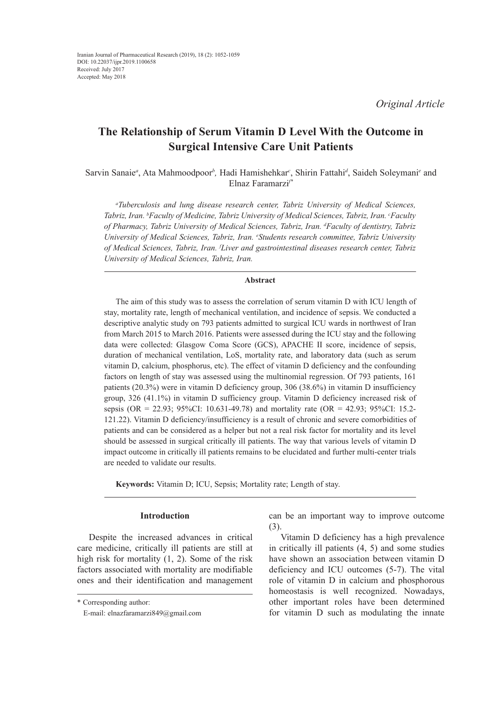# **The Relationship of Serum Vitamin D Level With the Outcome in Surgical Intensive Care Unit Patients**

Sarvin Sanaie<sup>a</sup>, Ata Mahmoodpoor<sup>b</sup>, Hadi Hamishehkar<sup>c</sup>, Shirin Fattahi<sup>d</sup>, Saideh Soleymani<sup>e</sup> and Elnaz Faramarzi*f\**

*a Tuberculosis and lung disease research center, Tabriz University of Medical Sciences, Tabriz, Iran. b Faculty of Medicine, Tabriz University of Medical Sciences, Tabriz, Iran. c Faculty of Pharmacy, Tabriz University of Medical Sciences, Tabriz, Iran. d Faculty of dentistry, Tabriz University of Medical Sciences, Tabriz, Iran. e Students research committee, Tabriz University of Medical Sciences, Tabriz, Iran. f Liver and gastrointestinal diseases research center, Tabriz University of Medical Sciences, Tabriz, Iran.*

### **Abstract**

The aim of this study was to assess the correlation of serum vitamin D with ICU length of stay, mortality rate, length of mechanical ventilation, and incidence of sepsis. We conducted a descriptive analytic study on 793 patients admitted to surgical ICU wards in northwest of Iran from March 2015 to March 2016. Patients were assessed during the ICU stay and the following data were collected: Glasgow Coma Score (GCS), APACHE II score, incidence of sepsis, duration of mechanical ventilation, LoS, mortality rate, and laboratory data (such as serum vitamin D, calcium, phosphorus, etc). The effect of vitamin D deficiency and the confounding factors on length of stay was assessed using the multinomial regression. Of 793 patients, 161 patients (20.3%) were in vitamin D deficiency group, 306 (38.6%) in vitamin D insufficiency group, 326 (41.1%) in vitamin D sufficiency group. Vitamin D deficiency increased risk of sepsis (OR = 22.93; 95%CI: 10.631-49.78) and mortality rate (OR = 42.93; 95%CI: 15.2- 121.22). Vitamin D deficiency/insufficiency is a result of chronic and severe comorbidities of patients and can be considered as a helper but not a real risk factor for mortality and its level should be assessed in surgical critically ill patients. The way that various levels of vitamin D impact outcome in critically ill patients remains to be elucidated and further multi-center trials are needed to validate our results.

**Keywords:** Vitamin D; ICU, Sepsis; Mortality rate; Length of stay.

# **Introduction**

Despite the increased advances in critical care medicine, critically ill patients are still at high risk for mortality (1, 2). Some of the risk factors associated with mortality are modifiable ones and their identification and management can be an important way to improve outcome (3).

Vitamin D deficiency has a high prevalence in critically ill patients (4, 5) and some studies have shown an association between vitamin D deficiency and ICU outcomes (5-7). The vital role of vitamin D in calcium and phosphorous homeostasis is well recognized. Nowadays, other important roles have been determined for vitamin D such as modulating the innate

<sup>\*</sup> Corresponding author:

E-mail: elnazfaramarzi849@gmail.com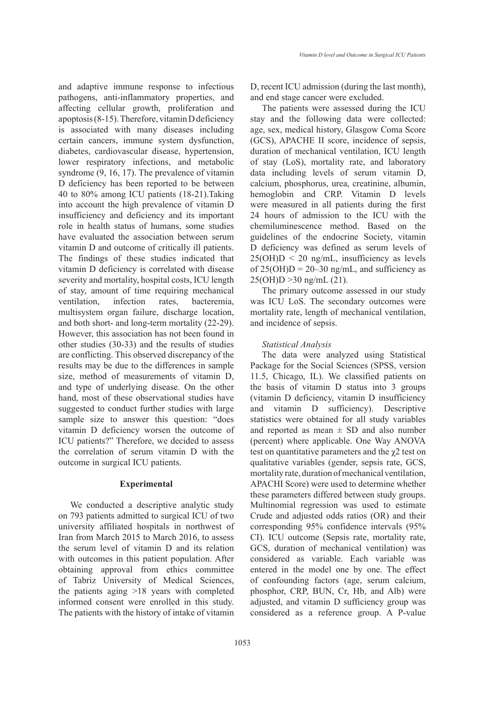and adaptive immune response to infectious pathogens, anti-inflammatory properties, and affecting cellular growth, proliferation and apoptosis (8-15). Therefore, vitamin D deficiency is associated with many diseases including certain cancers, immune system dysfunction, diabetes, cardiovascular disease, hypertension, lower respiratory infections, and metabolic syndrome (9, 16, 17). The prevalence of vitamin D deficiency has been reported to be between 40 to 80% among ICU patients (18-21).Taking into account the high prevalence of vitamin D insufficiency and deficiency and its important role in health status of humans, some studies have evaluated the association between serum vitamin D and outcome of critically ill patients. The findings of these studies indicated that vitamin D deficiency is correlated with disease severity and mortality, hospital costs, ICU length of stay, amount of time requiring mechanical ventilation, infection rates, bacteremia, multisystem organ failure, discharge location, and both short- and long-term mortality (22-29). However, this association has not been found in other studies (30-33) and the results of studies are conflicting. This observed discrepancy of the results may be due to the differences in sample size, method of measurements of vitamin D, and type of underlying disease. On the other hand, most of these observational studies have suggested to conduct further studies with large sample size to answer this question: "does vitamin D deficiency worsen the outcome of ICU patients?" Therefore, we decided to assess the correlation of serum vitamin D with the outcome in surgical ICU patients.

#### **Experimental**

We conducted a descriptive analytic study on 793 patients admitted to surgical ICU of two university affiliated hospitals in northwest of Iran from March 2015 to March 2016, to assess the serum level of vitamin D and its relation with outcomes in this patient population. After obtaining approval from ethics committee of Tabriz University of Medical Sciences, the patients aging >18 years with completed informed consent were enrolled in this study. The patients with the history of intake of vitamin D, recent ICU admission (during the last month), and end stage cancer were excluded.

The patients were assessed during the ICU stay and the following data were collected: age, sex, medical history, Glasgow Coma Score (GCS), APACHE II score, incidence of sepsis, duration of mechanical ventilation, ICU length of stay (LoS), mortality rate, and laboratory data including levels of serum vitamin D, calcium, phosphorus, urea, creatinine, albumin, hemoglobin and CRP. Vitamin D levels were measured in all patients during the first 24 hours of admission to the ICU with the chemiluminescence method. Based on the guidelines of the endocrine Society, vitamin D deficiency was defined as serum levels of  $25(OH)D < 20$  ng/mL, insufficiency as levels of  $25(OH)D = 20-30$  ng/mL, and sufficiency as 25(OH)D >30 ng/mL (21).

The primary outcome assessed in our study was ICU LoS. The secondary outcomes were mortality rate, length of mechanical ventilation, and incidence of sepsis.

#### *Statistical Analysis*

The data were analyzed using Statistical Package for the Social Sciences (SPSS, version 11.5, Chicago, IL). We classified patients on the basis of vitamin D status into 3 groups (vitamin D deficiency, vitamin D insufficiency and vitamin D sufficiency). Descriptive statistics were obtained for all study variables and reported as mean  $\pm$  SD and also number (percent) where applicable. One Way ANOVA test on quantitative parameters and the  $\chi$ 2 test on qualitative variables (gender, sepsis rate, GCS, mortality rate, duration of mechanical ventilation, APACHI Score) were used to determine whether these parameters differed between study groups. Multinomial regression was used to estimate Crude and adjusted odds ratios (OR) and their corresponding 95% confidence intervals (95% CI). ICU outcome (Sepsis rate, mortality rate, GCS, duration of mechanical ventilation) was considered as variable. Each variable was entered in the model one by one. The effect of confounding factors (age, serum calcium, phosphor, CRP, BUN, Cr, Hb, and Alb) were adjusted, and vitamin D sufficiency group was considered as a reference group. A P-value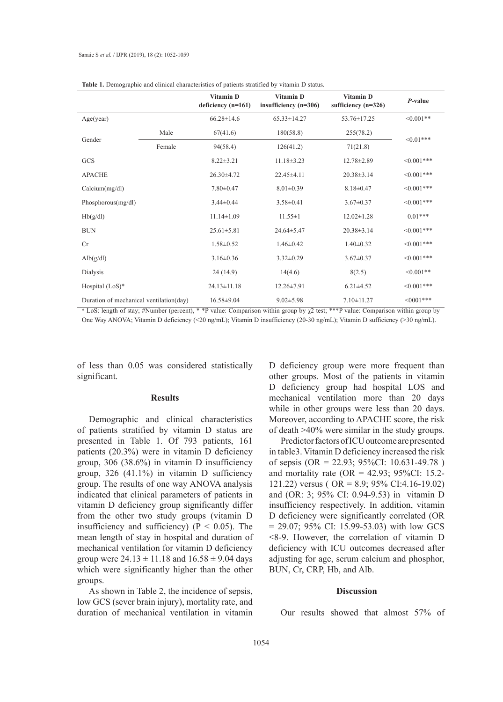| - 1                                     |        |                                   |                                      |                                    |                |
|-----------------------------------------|--------|-----------------------------------|--------------------------------------|------------------------------------|----------------|
|                                         |        | Vitamin D<br>deficiency $(n=161)$ | Vitamin D<br>insufficiency $(n=306)$ | Vitamin D<br>sufficiency $(n=326)$ | P-value        |
| Age(year)                               |        | $66.28 \pm 14.6$                  | $65.33 \pm 14.27$                    | 53.76±17.25                        | $\leq 0.001**$ |
| Gender                                  | Male   | 67(41.6)                          | 180(58.8)                            | 255(78.2)                          | $< 0.01***$    |
|                                         | Female | 94(58.4)                          | 126(41.2)                            | 71(21.8)                           |                |
| <b>GCS</b>                              |        | $8.22 \pm 3.21$                   | $11.18 \pm 3.23$                     | 12.78±2.89                         | $<0.001***$    |
| <b>APACHE</b>                           |        | $26.30\pm4.72$                    | $22.45 \pm 4.11$                     | $20.38 \pm 3.14$                   | $<0.001***$    |
| Calcium(mg/dl)                          |        | $7.80 \pm 0.47$                   | $8.01 \pm 0.39$                      | $8.18 \pm 0.47$                    | $< 0.001$ ***  |
| Phosphorous(mg/dl)                      |        | $3.44 \pm 0.44$                   | $3.58 \pm 0.41$                      | $3.67 \pm 0.37$                    | $<0.001***$    |
| Hb(g/dl)                                |        | $11.14 \pm 1.09$                  | $11.55 \pm 1$                        | $12.02 \pm 1.28$                   | $0.01***$      |
| <b>BUN</b>                              |        | $25.61 \pm 5.81$                  | 24.64±5.47                           | $20.38 \pm 3.14$                   | $<0.001***$    |
| Cr                                      |        | $1.58 \pm 0.52$                   | $1.46 \pm 0.42$                      | $1.40 \pm 0.32$                    | $<0.001***$    |
| Alb(g/dl)                               |        | $3.16 \pm 0.36$                   | $3.32 \pm 0.29$                      | $3.67 \pm 0.37$                    | $< 0.001$ ***  |
| Dialysis                                |        | 24(14.9)                          | 14(4.6)                              | 8(2.5)                             | $<0.001**$     |
| Hospital $(LoS)*$                       |        | $24.13 \pm 11.18$                 | $12.26 \pm 7.91$                     | $6.21 \pm 4.52$                    | $<0.001***$    |
| Duration of mechanical ventilation(day) |        | $16.58 \pm 9.04$                  | $9.02 \pm 5.98$                      | $7.10 \pm 11.27$                   | $<0001***$     |

\* LoS: length of stay; #Number (percent), \* \*P value: Comparison within group by χ2 test; \*\*\*P value: Comparison within group by One Way ANOVA; Vitamin D deficiency (<20 ng/mL); Vitamin D insufficiency (20-30 ng/mL); Vitamin D sufficiency (>30 ng/mL).

of less than 0.05 was considered statistically significant.

## **Results**

Demographic and clinical characteristics of patients stratified by vitamin D status are presented in Table 1. Of 793 patients, 161 patients (20.3%) were in vitamin D deficiency group, 306 (38.6%) in vitamin D insufficiency group, 326 (41.1%) in vitamin D sufficiency group. The results of one way ANOVA analysis indicated that clinical parameters of patients in vitamin D deficiency group significantly differ from the other two study groups (vitamin D insufficiency and sufficiency) ( $P < 0.05$ ). The mean length of stay in hospital and duration of mechanical ventilation for vitamin D deficiency group were  $24.13 \pm 11.18$  and  $16.58 \pm 9.04$  days which were significantly higher than the other groups.

As shown in Table 2, the incidence of sepsis, low GCS (sever brain injury), mortality rate, and duration of mechanical ventilation in vitamin D deficiency group were more frequent than other groups. Most of the patients in vitamin D deficiency group had hospital LOS and mechanical ventilation more than 20 days while in other groups were less than 20 days. Moreover, according to APACHE score, the risk of death >40% were similar in the study groups.

Predictor factors of ICU outcome are presented in table3. Vitamin D deficiency increased the risk of sepsis (OR = 22.93; 95%CI: 10.631-49.78 ) and mortality rate (OR = 42.93; 95%CI: 15.2-121.22) versus ( OR = 8.9; 95% CI:4.16-19.02) and (OR: 3; 95% CI: 0.94-9.53) in vitamin D insufficiency respectively. In addition, vitamin D deficiency were significantly correlated (OR  $= 29.07$ ; 95% CI: 15.99-53.03) with low GCS <8-9. However, the correlation of vitamin D deficiency with ICU outcomes decreased after adjusting for age, serum calcium and phosphor, BUN, Cr, CRP, Hb, and Alb.

#### **Discussion**

Our results showed that almost 57% of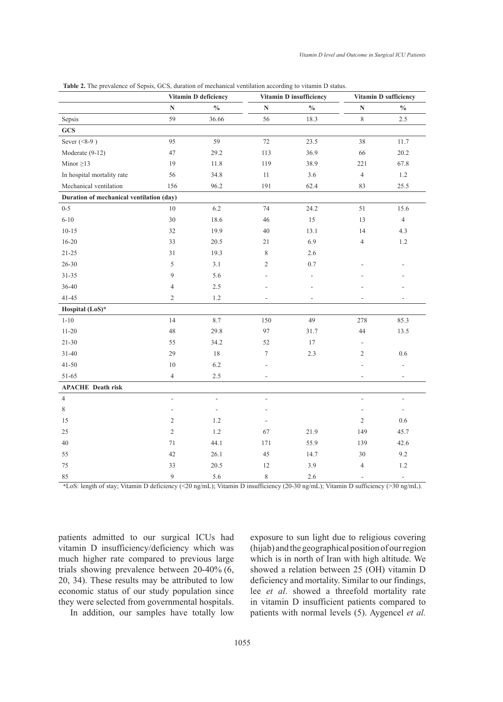|                                          |                          | Vitamin D deficiency     |                          | Vitamin D insufficiency  |                          | Vitamin D sufficiency    |
|------------------------------------------|--------------------------|--------------------------|--------------------------|--------------------------|--------------------------|--------------------------|
|                                          | N                        | $\frac{0}{0}$            | $\mathbf N$              | $\frac{0}{0}$            | $\mathbf N$              | $\frac{0}{0}$            |
| Sepsis                                   | 59                       | 36.66                    | 56                       | 18.3                     | $\,8\,$                  | $2.5\,$                  |
| GCS                                      |                          |                          |                          |                          |                          |                          |
| Sever $(<8-9)$                           | 95                       | 59                       | 72                       | 23.5                     | 38                       | 11.7                     |
| Moderate (9-12)                          | 47                       | 29.2                     | 113                      | 36.9                     | 66                       | 20.2                     |
| Minor $\geq$ 13                          | 19                       | 11.8                     | 119                      | 38.9                     | 221                      | 67.8                     |
| In hospital mortality rate               | 56                       | 34.8                     | $11\,$                   | 3.6                      | $\overline{4}$           | 1.2                      |
| Mechanical ventilation                   | 156                      | 96.2                     | 191                      | 62.4                     | 83                       | 25.5                     |
| Duration of mechanical ventilation (day) |                          |                          |                          |                          |                          |                          |
| $0 - 5$                                  | 10                       | 6.2                      | 74                       | 24.2                     | 51                       | 15.6                     |
| $6 - 10$                                 | 30                       | 18.6                     | 46                       | 15                       | 13                       | $\overline{4}$           |
| $10 - 15$                                | 32                       | 19.9                     | 40                       | 13.1                     | 14                       | 4.3                      |
| $16 - 20$                                | 33                       | 20.5                     | 21                       | 6.9                      | 4                        | $1.2\,$                  |
| $21 - 25$                                | 31                       | 19.3                     | 8                        | 2.6                      |                          |                          |
| $26 - 30$                                | 5                        | 3.1                      | 2                        | 0.7                      |                          |                          |
| $31 - 35$                                | 9                        | 5.6                      |                          | $\overline{\phantom{a}}$ |                          |                          |
| 36-40                                    | 4                        | $2.5\,$                  |                          |                          |                          |                          |
| 41-45                                    | $\overline{2}$           | 1.2                      | ٠                        | L,                       |                          |                          |
| Hospital (LoS)*                          |                          |                          |                          |                          |                          |                          |
| $1 - 10$                                 | 14                       | 8.7                      | 150                      | 49                       | 278                      | 85.3                     |
| $11 - 20$                                | 48                       | 29.8                     | 97                       | 31.7                     | 44                       | 13.5                     |
| $21 - 30$                                | 55                       | 34.2                     | 52                       | 17                       | $\overline{a}$           |                          |
| $31 - 40$                                | 29                       | 18                       | $\boldsymbol{7}$         | 2.3                      | 2                        | $0.6\,$                  |
| $41 - 50$                                | 10                       | $6.2\,$                  |                          |                          |                          |                          |
| 51-65                                    | 4                        | $2.5\,$                  | ÷.                       |                          | ٠                        | $\overline{\phantom{a}}$ |
| <b>APACHE</b> Death risk                 |                          |                          |                          |                          |                          |                          |
| $\overline{4}$                           | $\overline{\phantom{m}}$ | $\overline{\phantom{a}}$ | $\overline{\phantom{a}}$ |                          | ٠                        | $\overline{\phantom{a}}$ |
| 8                                        | ÷                        | ÷,                       |                          |                          | ÷,                       | $\overline{\phantom{a}}$ |
| 15                                       | $\overline{2}$           | 1.2                      |                          |                          | $\mathfrak{2}$           | 0.6                      |
| 25                                       | $\overline{2}$           | 1.2                      | 67                       | 21.9                     | 149                      | 45.7                     |
| 40                                       | 71                       | 44.1                     | 171                      | 55.9                     | 139                      | 42.6                     |
| 55                                       | 42                       | 26.1                     | 45                       | 14.7                     | $30\,$                   | 9.2                      |
| 75                                       | 33                       | 20.5                     | 12                       | 3.9                      | $\overline{\mathcal{L}}$ | $1.2\,$                  |
| 85                                       | 9                        | 5.6                      | $\,$ $\,$                | 2.6                      | $\overline{\phantom{a}}$ | ٠                        |

**Table 2.** The prevalence of Sepsis, GCS, duration of mechanical ventilation according to vitamin D status.

\*LoS: length of stay; Vitamin D deficiency (<20 ng/mL); Vitamin D insufficiency (20-30 ng/mL); Vitamin D sufficiency (>30 ng/mL).

patients admitted to our surgical ICUs had vitamin D insufficiency/deficiency which was much higher rate compared to previous large trials showing prevalence between 20-40% (6, 20, 34). These results may be attributed to low economic status of our study population since they were selected from governmental hospitals.

In addition, our samples have totally low

exposure to sun light due to religious covering (hijab) and the geographical position of our region which is in north of Iran with high altitude. We showed a relation between 25 (OH) vitamin D deficiency and mortality. Similar to our findings, lee *et al*. showed a threefold mortality rate in vitamin D insufficient patients compared to patients with normal levels (5). Aygencel *et al.*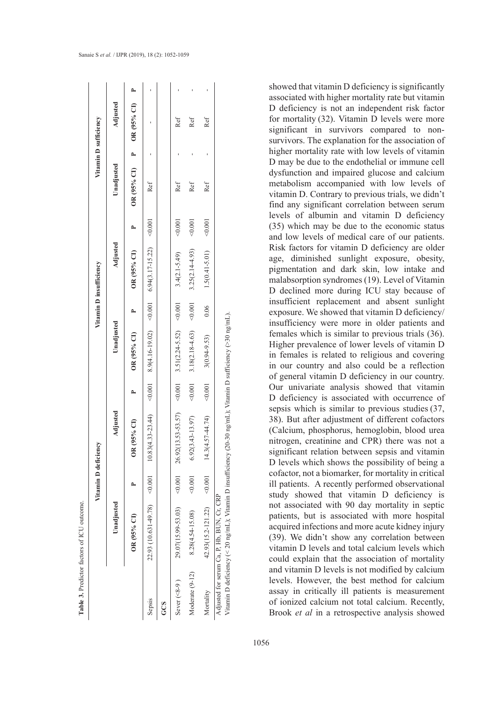|                 |                                                                                                                                                            | Vitamin D deficiency |                                                                                                      |       |                           |      | Vitamin D insufficiency |         |                             | Vitamin D sufficiency |  |
|-----------------|------------------------------------------------------------------------------------------------------------------------------------------------------------|----------------------|------------------------------------------------------------------------------------------------------|-------|---------------------------|------|-------------------------|---------|-----------------------------|-----------------------|--|
|                 | Unadjusted                                                                                                                                                 |                      | Adjusted                                                                                             |       | Unadjusted                |      | Adjusted                |         | Unadjusted                  | Adjusted              |  |
|                 | OR (95% CI)                                                                                                                                                |                      | $(95%$ CI)<br>$\frac{8}{2}$                                                                          |       | OR (95% CI)               |      | OR (95% CI)             |         | OR (95% CI) P OR (95% CI) P |                       |  |
| Sepsis          |                                                                                                                                                            |                      | 100'0> (スス's1'z'l'モ)'b6'9 100'0> (Z0'61'9'l't)6'8 100'0> (キデミマーsビサ)68'01 100'0> (&L'6f'IE9'01)'66'zZ |       |                           |      |                         |         | Ref                         |                       |  |
| GCS             |                                                                                                                                                            |                      |                                                                                                      |       |                           |      |                         |         |                             |                       |  |
| Sever $(<8-9)$  | 29.07(15.99-53.03)                                                                                                                                         |                      | <0.001  26.92(13.53-53.57) <0.001  3.51(2.24-5.52) <0.001                                            |       |                           |      | $3.4(2.1-5.49)$         | < 0.001 | Ref                         | Ref                   |  |
| Moderate (9-12) | 8.28(4.54-15.08)                                                                                                                                           | < 0.001              | $6.92(3.43 - 13.97)$                                                                                 | 0.001 | $3.18(2.18-4.63)$ < 0.001 |      | $3.25(2.14 - 4.93)$     | 40.001  | Ref                         | Ref                   |  |
| Mortality       | 42.93(15.2-121.22)                                                                                                                                         | < 0.001              | $14.3(4.57 - 44.74)$                                                                                 | 0.001 | $3(0.94 - 9.53)$          | 0.06 | $1.5(0.41 - 5.01)$      | < 0.001 | Ref                         | Ref                   |  |
|                 | Vitamin D deficiency (< 20 ng/mL); Vitamin D insufficiency (20-30 ng/mL); Vitamin D sufficiency (>30 ng/mL).<br>Adjusted for serum Ca, P, Hb, BUN, Cr, CRP |                      |                                                                                                      |       |                           |      |                         |         |                             |                       |  |

**Table 3.** Predictor factors of ICU outcome.

Table 3. Predictor factors of ICU outcome

showed that vitamin D deficiency is significantly associated with higher mortality rate but vitamin D deficiency is not an independent risk factor for mortality (32). Vitamin D levels were more significant in survivors compared to nonsurvivors. The explanation for the association of higher mortality rate with low levels of vitamin D may be due to the endothelial or immune cell dysfunction and impaired glucose and calcium metabolism accompanied with low levels of vitamin D. Contrary to previous trials, we didn't find any significant correlation between serum levels of albumin and vitamin D deficiency (35) which may be due to the economic status and low levels of medical care of our patients. Risk factors for vitamin D deficiency are older age, diminished sunlight exposure, obesity, pigmentation and dark skin, low intake and malabsorption syndromes (19). Level of Vitamin D declined more during ICU stay because of insufficient replacement and absent sunlight exposure. We showed that vitamin D deficiency/ insufficiency were more in older patients and females which is similar to previous trials (36). Higher prevalence of lower levels of vitamin D in females is related to religious and covering in our country and also could be a reflection of general vitamin D deficiency in our country. Our univariate analysis showed that vitamin D deficiency is associated with occurrence of sepsis which is similar to previous studies (37, 38). But after adjustment of different cofactors (Calcium, phosphorus, hemoglobin, blood urea nitrogen, creatinine and CPR) there was not a significant relation between sepsis and vitamin D levels which shows the possibility of being a cofactor, not a biomarker, for mortality in critical ill patients. A recently performed observational study showed that vitamin D deficiency is not associated with 90 day mortality in septic patients, but is associated with more hospital acquired infections and more acute kidney injury (39). We didn't show any correlation between vitamin D levels and total calcium levels which could explain that the association of mortality and vitamin D levels is not modified by calcium levels. However, the best method for calcium assay in critically ill patients is measurement of ionized calcium not total calcium. Recently, Brook *et al* in a retrospective analysis showed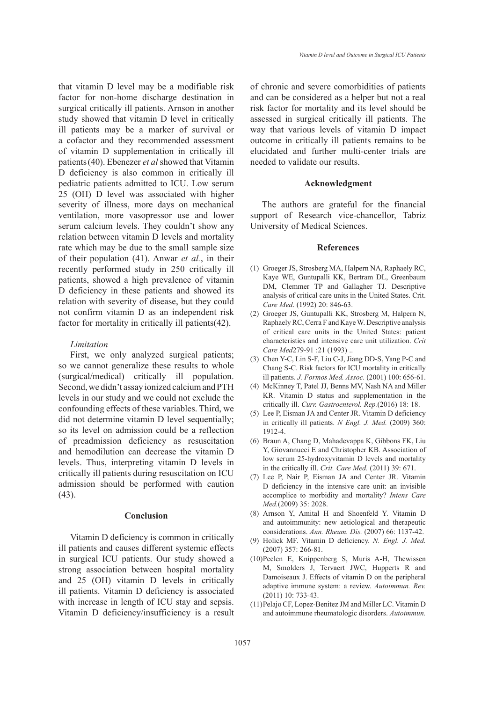that vitamin D level may be a modifiable risk factor for non-home discharge destination in surgical critically ill patients. Arnson in another study showed that vitamin D level in critically ill patients may be a marker of survival or a cofactor and they recommended assessment of vitamin D supplementation in critically ill patients(40). Ebenezer *et al* showed that Vitamin D deficiency is also common in critically ill pediatric patients admitted to ICU. Low serum 25 (OH) D level was associated with higher severity of illness, more days on mechanical ventilation, more vasopressor use and lower serum calcium levels. They couldn't show any relation between vitamin D levels and mortality rate which may be due to the small sample size of their population (41). Anwar *et al.*, in their recently performed study in 250 critically ill patients, showed a high prevalence of vitamin D deficiency in these patients and showed its relation with severity of disease, but they could not confirm vitamin D as an independent risk factor for mortality in critically ill patients(42).

### *Limitation*

First, we only analyzed surgical patients; so we cannot generalize these results to whole (surgical/medical) critically ill population. Second, we didn't assay ionized calcium and PTH levels in our study and we could not exclude the confounding effects of these variables. Third, we did not determine vitamin D level sequentially; so its level on admission could be a reflection of preadmission deficiency as resuscitation and hemodilution can decrease the vitamin D levels. Thus, interpreting vitamin D levels in critically ill patients during resuscitation on ICU admission should be performed with caution (43).

## **Conclusion**

Vitamin D deficiency is common in critically ill patients and causes different systemic effects in surgical ICU patients. Our study showed a strong association between hospital mortality and 25 (OH) vitamin D levels in critically ill patients. Vitamin D deficiency is associated with increase in length of ICU stay and sepsis. Vitamin D deficiency/insufficiency is a result of chronic and severe comorbidities of patients and can be considered as a helper but not a real risk factor for mortality and its level should be assessed in surgical critically ill patients. The way that various levels of vitamin D impact outcome in critically ill patients remains to be elucidated and further multi-center trials are needed to validate our results.

#### **Acknowledgment**

The authors are grateful for the financial support of Research vice-chancellor, Tabriz University of Medical Sciences.

#### **References**

- (1) Groeger JS, Strosberg MA, Halpern NA, Raphaely RC, Kaye WE, Guntupalli KK, Bertram DL, Greenbaum DM, Clemmer TP and Gallagher TJ. Descriptive analysis of critical care units in the United States. Crit. *Care Med*. (1992) 20: 846-63.
- (2) Groeger JS, Guntupalli KK, Strosberg M, Halpern N, Raphaely RC, Cerra F and Kaye W. Descriptive analysis of critical care units in the United States: patient characteristics and intensive care unit utilization. *Crit Care Med*279-91 :21 (1993) ..
- (3) Chen Y-C, Lin S-F, Liu C-J, Jiang DD-S, Yang P-C and Chang S-C. Risk factors for ICU mortality in critically ill patients. *J. Formos Med. Assoc.* (2001) 100: 656-61.
- (4) McKinney T, Patel JJ, Benns MV, Nash NA and Miller KR. Vitamin D status and supplementation in the critically ill. *Curr. Gastroenterol. Rep.*(2016) 18: 18.
- Lee P, Eisman JA and Center JR. Vitamin D deficiency (5) in critically ill patients. *N Engl. J. Med.* (2009) 360: 1912-4.
- (6) Braun A, Chang D, Mahadevappa K, Gibbons FK, Liu Y, Giovannucci E and Christopher KB. Association of low serum 25-hydroxyvitamin D levels and mortality in the critically ill. *Crit. Care Med.* (2011) 39: 671.
- (7) Lee P, Nair P, Eisman JA and Center JR. Vitamin D deficiency in the intensive care unit: an invisible accomplice to morbidity and mortality? *Intens Care Med.*(2009) 35: 2028.
- Arnson Y, Amital H and Shoenfeld Y. Vitamin D (8) and autoimmunity: new aetiological and therapeutic considerations. *Ann. Rheum. Dis.* (2007) 66: 1137-42.
- Holick MF. Vitamin D deficiency. *N. Engl. J. Med.*  (9) (2007) 357: 266-81.
- (10) Peelen E, Knippenberg S, Muris A-H, Thewissen M, Smolders J, Tervaert JWC, Hupperts R and Damoiseaux J. Effects of vitamin D on the peripheral adaptive immune system: a review. *Autoimmun. Rev.*  (2011) 10: 733-43.
- (11) Pelajo CF, Lopez-Benitez JM and Miller LC. Vitamin D and autoimmune rheumatologic disorders. *Autoimmun.*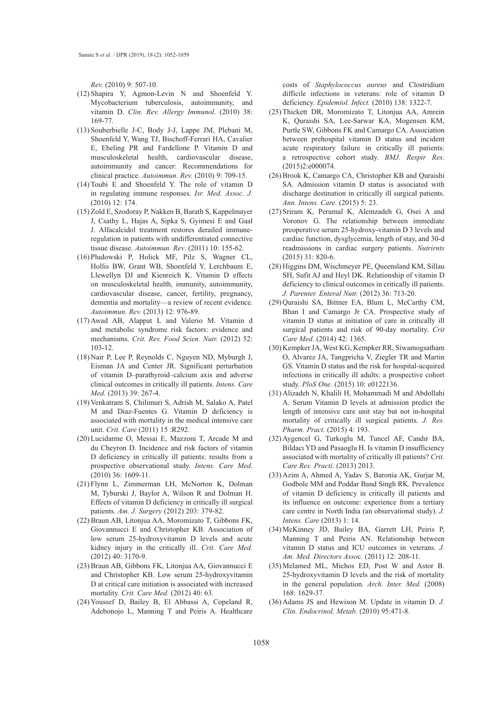*Rev.* (2010) 9: 507-10.

- $(12)$  Shapira Y, Agmon-Levin N and Shoenfeld Y. Mycobacterium tuberculosis, autoimmunity, and vitamin D. *Clin. Rev. Allergy Immunol*. (2010) 38: 169-77.
- (13) Souberbielle J-C, Body J-J, Lappe JM, Plebani M, Shoenfeld Y, Wang TJ, Bischoff-Ferrari HA, Cavalier E, Ebeling PR and Fardellone P. Vitamin D and musculoskeletal health, cardiovascular disease, autoimmunity and cancer: Recommendations for clinical practice. *Autoimmun. Rev.* (2010) 9: 709-15.
- $(14)$  Toubi E and Shoenfeld Y. The role of vitamin D in regulating immune responses. *Isr. Med. Assoc. J.*  (2010) 12: 174.
- (15) Zold E, Szodoray P, Nakken B, Barath S, Kappelmayer J, Csathy L, Hajas A, Sipka S, Gyimesi E and Gaal J. Alfacalcidol treatment restores derailed immuneregulation in patients with undifferentiated connective tissue disease. *Autoimmun. Rev*. (2011) 10: 155-62.
- (16) Pludowski P, Holick MF, Pilz S, Wagner CL, Hollis BW, Grant WB, Shoenfeld Y, Lerchbaum E, Llewellyn DJ and Kienreich K. Vitamin D effects on musculoskeletal health, immunity, autoimmunity, cardiovascular disease, cancer, fertility, pregnancy, dementia and mortality—a review of recent evidence. *Autoimmun. Rev.* (2013) 12: 976-89.
- (17) Awad AB, Alappat L and Valerio M. Vitamin d and metabolic syndrome risk factors: evidence and mechanisms. *Crit. Rev. Food Scien. Nutr.* (2012) 52: 103-12.
- (18) Nair P, Lee P, Reynolds C, Nguyen ND, Myburgh J, Eisman JA and Center JR. Significant perturbation of vitamin D–parathyroid–calcium axis and adverse clinical outcomes in critically ill patients. *Intens. Care Med*. (2013) 39: 267-4.
- (19) Venkatram S, Chilimuri S, Adrish M, Salako A, Patel M and Diaz-Fuentes G. Vitamin D deficiency is associated with mortality in the medical intensive care unit. *Crit. Care* (2011) 15 :R292.
- (20) Lucidarme O, Messai E, Mazzoni T, Arcade M and du Cheyron D. Incidence and risk factors of vitamin D deficiency in critically ill patients: results from a prospective observational study. *Intens. Care Med*. (2010) 36: 1609-11.
- Flynn L, Zimmerman LH, McNorton K, Dolman (21) M, Tyburski J, Baylor A, Wilson R and Dolman H. Effects of vitamin D deficiency in critically ill surgical patients. *Am. J. Surgery* (2012) 203: 379-82.
- (22) Braun AB, Litonjua AA, Moromizato T, Gibbons FK, Giovannucci E and Christopher KB. Association of low serum 25-hydroxyvitamin D levels and acute kidney injury in the critically ill. *Crit. Care Med.*  (2012) 40: 3170-9.
- (23) Braun AB, Gibbons FK, Litonjua AA, Giovannucci E and Christopher KB. Low serum 25-hydroxyvitamin D at critical care initiation is associated with increased mortality. *Crit. Care Med.* (2012) 40: 63.
- (24) Youssef D, Bailey B, El Abbassi A, Copeland R, Adebonojo L, Manning T and Peiris A. Healthcare

costs of *Staphylococcus aureus* and Clostridium difficile infections in veterans: role of vitamin D deficiency. *Epidemiol. Infect.* (2010) 138: 1322-7.

- (25) Thickett DR, Moromizato T, Litonjua AA, Amrein K, Quraishi SA, Lee-Sarwar KA, Mogensen KM, Purtle SW, Gibbons FK and Camargo CA. Association between prehospital vitamin D status and incident acute respiratory failure in critically ill patients: a retrospective cohort study. *BMJ. Respir Res.* (2015)2:e000074.
- (26) Brook K, Camargo CA, Christopher KB and Quraishi SA. Admission vitamin D status is associated with discharge destination in critically ill surgical patients. *Ann. Intens. Care.* (2015) 5: 23.
- (27) Sriram K, Perumal K, Alemzadeh G, Osei A and Voronov G. The relationship between immediate preoperative serum 25-hydroxy-vitamin D 3 levels and cardiac function, dysglycemia, length of stay, and 30-d readmissions in cardiac surgery patients. *Nutrirnts*  (2015) 31: 820-6.
- (28) Higgins DM, Wischmeyer PE, Queensland KM, Sillau SH, Sufit AJ and Heyl DK. Relationship of vitamin D deficiency to clinical outcomes in critically ill patients. *J. Parenter. Enteral Nutr.* (2012) 36: 713-20.
- (29) Quraishi SA, Bittner EA, Blum L, McCarthy CM, Bhan I and Camargo Jr CA. Prospective study of vitamin D status at initiation of care in critically ill surgical patients and risk of 90-day mortality. *Crit Care Med*. (2014) 42: 1365.
- (30) Kempker JA, West KG, Kempker RR, Siwamogsatham O, Alvarez JA, Tangpricha V, Ziegler TR and Martin GS. Vitamin D status and the risk for hospital-acquired infections in critically ill adults: a prospective cohort study. *PloS One.* (2015) 10: e0122136.
- (31) Alizadeh N, Khalili H, Mohammadi M and Abdollahi A. Serum Vitamin D levels at admission predict the length of intensive care unit stay but not in-hospital mortality of critically ill surgical patients. *J. Res. Pharm. Pract*. (2015) 4: 193.
- (32) Aygencel G, Turkoglu M, Tuncel AF, Candır BA, Bildacı YD and Pasaoglu H. Is vitamin D insufficiency associated with mortality of critically ill patients? *Crit. Care Res. Practi*. (2013) 2013.
- (33) Azim A, Ahmed A, Yadav S, Baronia AK, Gurjar M, Godbole MM and Poddar Band Singh RK. Prevalence of vitamin D deficiency in critically ill patients and its influence on outcome: experience from a tertiary care centre in North India (an observational study). *J. Intens. Care* (2013) 1: 14.
- (34) McKinney JD, Bailey BA, Garrett LH, Peiris P, Manning T and Peiris AN. Relationship between vitamin D status and ICU outcomes in veterans. *J. Am. Med. Directors Asso*c. (2011) 12: 208-11.
- (35) Melamed ML, Michos ED, Post W and Astor B. 25-hydroxyvitamin D levels and the risk of mortality in the general population. *Arch. Inter. Med.* (2008) 168: 1629-37.
- (36) Adams JS and Hewison M. Update in vitamin D. *J. Clin. Endocrinol. Metab.* (2010) 95:471-8.